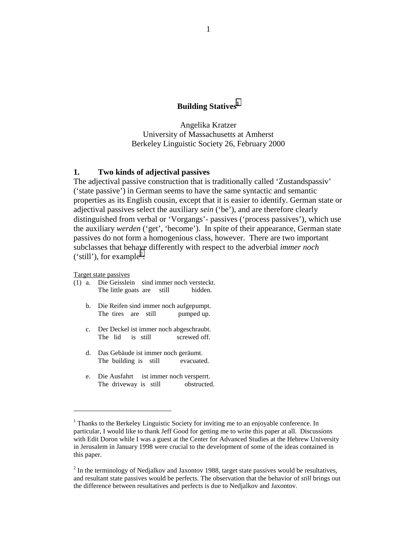# **Building Statives**<sup>1</sup>

Angelika Kratzer University of Massachusetts at Amherst Berkeley Linguistic Society 26, February 2000

### **1. Two kinds of adjectival passives**

The adjectival passive construction that is traditionally called 'Zustandspassiv' ('state passive') in German seems to have the same syntactic and semantic properties as its English cousin, except that it is easier to identify. German state or adjectival passives select the auxiliary *sein* ('be'), and are therefore clearly distinguished from verbal or 'Vorgangs'- passives ('process passives'), which use the auxiliary *werden* ('get', 'become'). In spite of their appearance, German state passives do not form a homogenious class, however. There are two important subclasses that behave differently with respect to the adverbial *immer noch* ('still'), for example<sup>2</sup>:

Target state passives

- (1) a. Die Geisslein sind immer noch versteckt. The little goats are still hidden.
	- b. Die Reifen sind immer noch aufgepumpt. The tires are still pumped up.
	- c. Der Deckel ist immer noch abgeschraubt. The lid is still screwed off.
	- d. Das Gebäude ist immer noch geräumt. The building is still evacuated.
	- e. Die Ausfahrt ist immer noch versperrt. The driveway is still obstructed.

<sup>&</sup>lt;sup>1</sup> Thanks to the Berkeley Linguistic Society for inviting me to an enjoyable conference. In particular, I would like to thank Jeff Good for getting me to write this paper at all. Discussions with Edit Doron while I was a guest at the Center for Advanced Studies at the Hebrew University in Jerusalem in January 1998 were crucial to the development of some of the ideas contained in this paper.

 $2^{2}$  In the terminology of Nedjalkov and Jaxontov 1988, target state passives would be resultatives, and resultant state passives would be perfects. The observation that the behavior of *still* brings out the difference between resultatives and perfects is due to Nedjalkov and Jaxontov.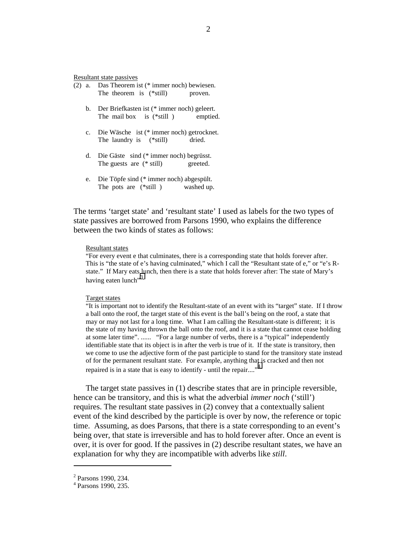Resultant state passives

- (2) a. Das Theorem ist (\* immer noch) bewiesen. The theorem is (\*still) proven.
	- b. Der Briefkasten ist (\* immer noch) geleert. The mail box is (\*still ) emptied.
	- c. Die Wäsche ist (\* immer noch) getrocknet. The laundry is (\*still) dried.
	- d. Die Gäste sind (\* immer noch) begrüsst. The guests are (\* still) greeted.
	- e. Die Töpfe sind (\* immer noch) abgespült. The pots are (\*still ) washed up.

The terms 'target state' and 'resultant state' I used as labels for the two types of state passives are borrowed from Parsons 1990, who explains the difference between the two kinds of states as follows:

#### Resultant states

"For every event e that culminates, there is a corresponding state that holds forever after. This is "the state of e's having culminated," which I call the "Resultant state of e," or "e's Rstate." If Mary eats lunch, then there is a state that holds forever after: The state of Mary's having eaten lunch"<sup>3.</sup>

#### Target states

"It is important not to identify the Resultant-state of an event with its "target" state. If I throw a ball onto the roof, the target state of this event is the ball's being on the roof, a state that may or may not last for a long time. What I am calling the Resultant-state is different; it is the state of my having thrown the ball onto the roof, and it is a state that cannot cease holding at some later time". ...... "For a large number of verbs, there is a "typical" independently identifiable state that its object is in after the verb is true of it. If the state is transitory, then we come to use the adjective form of the past participle to stand for the transitory state instead of for the permanent resultant state. For example, anything that is cracked and then not repaired is in a state that is easy to identify - until the repair....<sup> $,4$ </sup>

The target state passives in (1) describe states that are in principle reversible, hence can be transitory, and this is what the adverbial *immer noch* ('still') requires. The resultant state passives in (2) convey that a contextually salient event of the kind described by the participle is over by now, the reference or topic time. Assuming, as does Parsons, that there is a state corresponding to an event's being over, that state is irreversible and has to hold forever after. Once an event is over, it is over for good. If the passives in (2) describe resultant states, we have an explanation for why they are incompatible with adverbs like *still*.

<sup>&</sup>lt;sup>2</sup> Parsons 1990, 234.

<sup>4</sup> Parsons 1990, 235.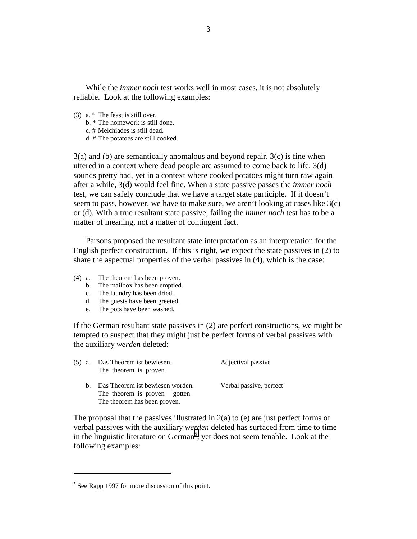While the *immer noch* test works well in most cases, it is not absolutely reliable. Look at the following examples:

- (3) a. \* The feast is still over.
	- b. \* The homework is still done.
	- c. # Melchiades is still dead.
	- d. # The potatoes are still cooked.

3(a) and (b) are semantically anomalous and beyond repair. 3(c) is fine when uttered in a context where dead people are assumed to come back to life. 3(d) sounds pretty bad, yet in a context where cooked potatoes might turn raw again after a while, 3(d) would feel fine. When a state passive passes the *immer noch* test, we can safely conclude that we have a target state participle. If it doesn't seem to pass, however, we have to make sure, we aren't looking at cases like 3(c) or (d). With a true resultant state passive, failing the *immer noch* test has to be a matter of meaning, not a matter of contingent fact.

Parsons proposed the resultant state interpretation as an interpretation for the English perfect construction. If this is right, we expect the state passives in (2) to share the aspectual properties of the verbal passives in (4), which is the case:

- (4) a. The theorem has been proven.
	- b. The mailbox has been emptied.
	- c. The laundry has been dried.
	- d. The guests have been greeted.
	- e. The pots have been washed.

If the German resultant state passives in (2) are perfect constructions, we might be tempted to suspect that they might just be perfect forms of verbal passives with the auxiliary *werden* deleted:

| $(5)$ a. | Das Theorem ist bewiesen.<br>The theorem is proven.                 | Adjectival passive      |
|----------|---------------------------------------------------------------------|-------------------------|
|          | b. Das Theorem ist bewiesen worden.<br>The theorem is proven gotten | Verbal passive, perfect |
|          | The theorem has been proven.                                        |                         |

The proposal that the passives illustrated in  $2(a)$  to (e) are just perfect forms of verbal passives with the auxiliary *werden* deleted has surfaced from time to time in the linguistic literature on German<sup>5</sup>, yet does not seem tenable. Look at the following examples:

<sup>&</sup>lt;sup>5</sup> See Rapp 1997 for more discussion of this point.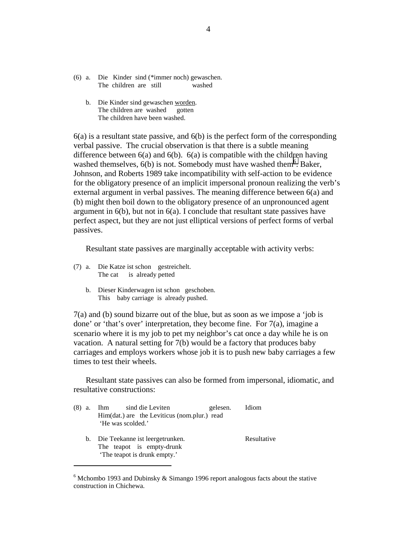- (6) a. Die Kinder sind (\*immer noch) gewaschen. The children are still washed
	- b. Die Kinder sind gewaschen worden. The children are washed gotten The children have been washed.

 $6(a)$  is a resultant state passive, and  $6(b)$  is the perfect form of the corresponding verbal passive. The crucial observation is that there is a subtle meaning difference between  $6(a)$  and  $6(b)$ .  $6(a)$  is compatible with the children having washed themselves,  $6(b)$  is not. Somebody must have washed them<sup>6</sup>. Baker, Johnson, and Roberts 1989 take incompatibility with self-action to be evidence for the obligatory presence of an implicit impersonal pronoun realizing the verb's external argument in verbal passives. The meaning difference between 6(a) and (b) might then boil down to the obligatory presence of an unpronounced agent argument in 6(b), but not in 6(a). I conclude that resultant state passives have perfect aspect, but they are not just elliptical versions of perfect forms of verbal passives.

Resultant state passives are marginally acceptable with activity verbs:

(7) a. Die Katze ist schon gestreichelt. The cat is already petted

 $\overline{a}$ 

b. Dieser Kinderwagen ist schon geschoben. This baby carriage is already pushed.

7(a) and (b) sound bizarre out of the blue, but as soon as we impose a 'job is done' or 'that's over' interpretation, they become fine. For 7(a), imagine a scenario where it is my job to pet my neighbor's cat once a day while he is on vacation. A natural setting for 7(b) would be a factory that produces baby carriages and employs workers whose job it is to push new baby carriages a few times to test their wheels.

Resultant state passives can also be formed from impersonal, idiomatic, and resultative constructions:

|        | gelesen.                                                                                                                                     | Idiom                                        |
|--------|----------------------------------------------------------------------------------------------------------------------------------------------|----------------------------------------------|
|        |                                                                                                                                              |                                              |
|        |                                                                                                                                              |                                              |
|        |                                                                                                                                              |                                              |
|        |                                                                                                                                              | Resultative                                  |
|        |                                                                                                                                              |                                              |
|        |                                                                                                                                              |                                              |
| (8) a. | Ihm sind die Leviten<br>'He was scolded.'<br>b. Die Teekanne ist leergetrunken.<br>The teapot is empty-drunk<br>'The teapot is drunk empty.' | Him(dat.) are the Leviticus (nom.plur.) read |

 $6$  Mchombo 1993 and Dubinsky & Simango 1996 report analogous facts about the stative construction in Chichewa.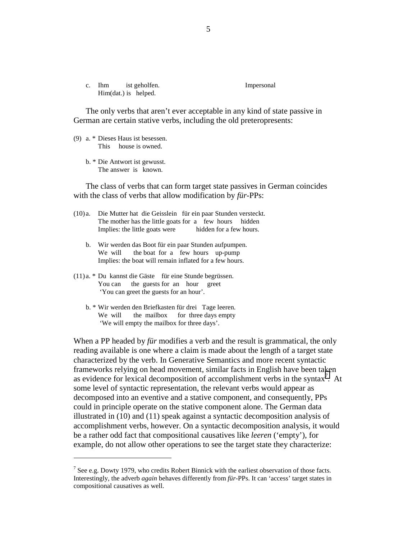| C. | Ihm                  | ist geholfen. |
|----|----------------------|---------------|
|    | Him(dat.) is helped. |               |

Impersonal

The only verbs that aren't ever acceptable in any kind of state passive in German are certain stative verbs, including the old preteropresents:

(9) a. \* Dieses Haus ist besessen. This house is owned.

 $\overline{a}$ 

b. \* Die Antwort ist gewusst. The answer is known.

The class of verbs that can form target state passives in German coincides with the class of verbs that allow modification by *für*-PPs:

- (10) a. Die Mutter hat die Geisslein für ein paar Stunden versteckt. The mother has the little goats for a few hours hidden Implies: the little goats were hidden for a few hours.
	- b. Wir werden das Boot für ein paar Stunden aufpumpen. We will the boat for a few hours up-pump Implies: the boat will remain inflated for a few hours.
- (11) a. \* Du kannst die Gäste für eine Stunde begrüssen. You can the guests for an hour greet 'You can greet the guests for an hour'.
	- b. \* Wir werden den Briefkasten für drei Tage leeren. We will the mailbox for three days empty 'We will empty the mailbox for three days'.

When a PP headed by *für* modifies a verb and the result is grammatical, the only reading available is one where a claim is made about the length of a target state characterized by the verb. In Generative Semantics and more recent syntactic frameworks relying on head movement, similar facts in English have been taken as evidence for lexical decomposition of accomplishment verbs in the syntax<sup>7</sup>. At some level of syntactic representation, the relevant verbs would appear as decomposed into an eventive and a stative component, and consequently, PPs could in principle operate on the stative component alone. The German data illustrated in (10) and (11) speak against a syntactic decomposition analysis of accomplishment verbs, however. On a syntactic decomposition analysis, it would be a rather odd fact that compositional causatives like *leeren* ('empty'), for example, do not allow other operations to see the target state they characterize:

<sup>&</sup>lt;sup>7</sup> See e.g. Dowty 1979, who credits Robert Binnick with the earliest observation of those facts. Interestingly, the adverb *again* behaves differently from *für*-PPs. It can 'access' target states in compositional causatives as well.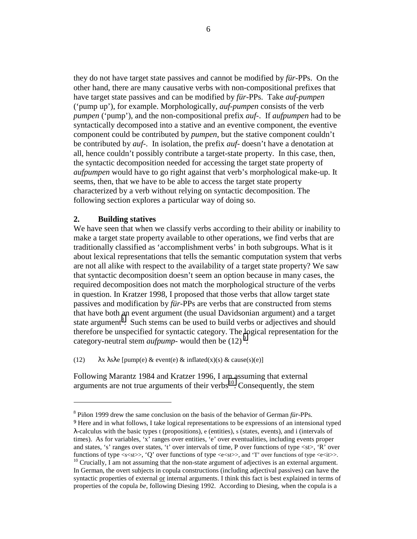they do not have target state passives and cannot be modified by *für*-PPs. On the other hand, there are many causative verbs with non-compositional prefixes that have target state passives and can be modified by *für*-PPs. Take *auf-pumpen* ('pump up'), for example. Morphologically, *auf-pumpen* consists of the verb *pumpen* ('pump'), and the non-compositional prefix *auf*-. If *aufpumpen* had to be syntactically decomposed into a stative and an eventive component, the eventive component could be contributed by *pumpen*, but the stative component couldn't be contributed by *auf*-. In isolation, the prefix *auf*- doesn't have a denotation at all, hence couldn't possibly contribute a target-state property. In this case, then, the syntactic decomposition needed for accessing the target state property of *aufpumpen* would have to go right against that verb's morphological make-up. It seems, then, that we have to be able to access the target state property characterized by a verb without relying on syntactic decomposition. The following section explores a particular way of doing so.

## **2. Building statives**

 $\overline{a}$ 

We have seen that when we classify verbs according to their ability or inability to make a target state property available to other operations, we find verbs that are traditionally classified as 'accomplishment verbs' in both subgroups. What is it about lexical representations that tells the semantic computation system that verbs are not all alike with respect to the availability of a target state property? We saw that syntactic decomposition doesn't seem an option because in many cases, the required decomposition does not match the morphological structure of the verbs in question. In Kratzer 1998, I proposed that those verbs that allow target state passives and modification by *für*-PPs are verbs that are constructed from stems that have both an event argument (the usual Davidsonian argument) and a target state argument<sup>8</sup>. Such stems can be used to build verbs or adjectives and should therefore be unspecified for syntactic category. The logical representation for the category-neutral stem *aufpump*- would then be  $(12)^9$ :

(12)  $\lambda x \lambda s \lambda e$  [pump(e) & event(e) & inflated(x)(s) & cause(s)(e)]

Following Marantz 1984 and Kratzer 1996, I am assuming that external arguments are not true arguments of their verbs $^{10}$ . Consequently, the stem

<sup>8</sup> Piñon 1999 drew the same conclusion on the basis of the behavior of German *für*-PPs.

<sup>9</sup> Here and in what follows, I take logical representations to be expressions of an intensional typed λ-calculus with the basic types t (propositions), e (entities), s (states, events), and i (intervals of times). As for variables, 'x' ranges over entities, 'e' over eventualities, including events proper and states, 's' ranges over states, 't' over intervals of time, P over functions of type <st>, 'R' over functions of type  $\langle s \times st \rangle$ , 'Q' over functions of type  $\langle e \times st \rangle$ , and 'T' over functions of type  $\langle e \times it \rangle$ .<br><sup>10</sup> Crucially, I am not assuming that the non-state argument of adjectives is an external argument.

In German, the overt subjects in copula constructions (including adjectival passives) can have the syntactic properties of external or internal arguments. I think this fact is best explained in terms of properties of the copula *be*, following Diesing 1992. According to Diesing, when the copula is a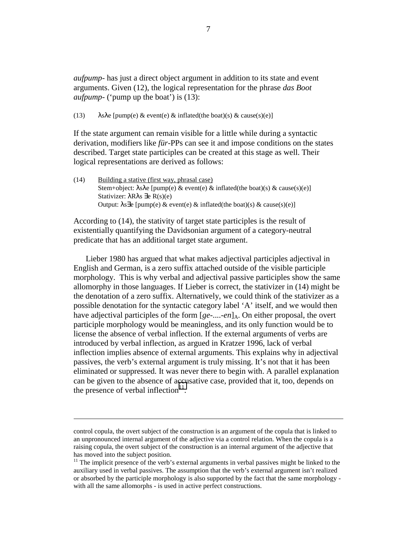*aufpump*- has just a direct object argument in addition to its state and event arguments. Given (12), the logical representation for the phrase *das Boot aufpump*- ('pump up the boat') is (13):

(13)  $\lambda s \lambda e$  [pump(e) & event(e) & inflated(the boat)(s) & cause(s)(e)]

If the state argument can remain visible for a little while during a syntactic derivation, modifiers like *für*-PPs can see it and impose conditions on the states described. Target state participles can be created at this stage as well. Their logical representations are derived as follows:

(14) Building a stative (first way, phrasal case) Stem+object:  $\lambda s \lambda e$  [pump(e) & event(e) & inflated(the boat)(s) & cause(s)(e)] Stativizer: λRλs ∃e R(s)(e) Output:  $\lambda s \exists e$  [pump(e) & event(e) & inflated(the boat)(s) & cause(s)(e)]

According to (14), the stativity of target state participles is the result of existentially quantifying the Davidsonian argument of a category-neutral predicate that has an additional target state argument.

Lieber 1980 has argued that what makes adjectival participles adjectival in English and German, is a zero suffix attached outside of the visible participle morphology. This is why verbal and adjectival passive participles show the same allomorphy in those languages. If Lieber is correct, the stativizer in (14) might be the denotation of a zero suffix. Alternatively, we could think of the stativizer as a possible denotation for the syntactic category label 'A' itself, and we would then have adjectival participles of the form  $[ge-$ ....-*en*]<sub>A</sub>. On either proposal, the overt participle morphology would be meaningless, and its only function would be to license the absence of verbal inflection. If the external arguments of verbs are introduced by verbal inflection, as argued in Kratzer 1996, lack of verbal inflection implies absence of external arguments. This explains why in adjectival passives, the verb's external argument is truly missing. It's not that it has been eliminated or suppressed. It was never there to begin with. A parallel explanation can be given to the absence of accusative case, provided that it, too, depends on the presence of verbal inflection $11$ .

control copula, the overt subject of the construction is an argument of the copula that is linked to an unpronounced internal argument of the adjective via a control relation. When the copula is a raising copula, the overt subject of the construction is an internal argument of the adjective that has moved into the subject position.

 $11$  The implicit presence of the verb's external arguments in verbal passives might be linked to the auxiliary used in verbal passives. The assumption that the verb's external argument isn't realized or absorbed by the participle morphology is also supported by the fact that the same morphology with all the same allomorphs - is used in active perfect constructions.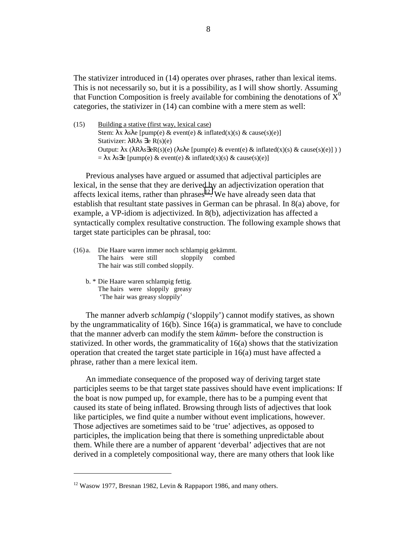The stativizer introduced in (14) operates over phrases, rather than lexical items. This is not necessarily so, but it is a possibility, as I will show shortly. Assuming that Function Composition is freely available for combining the denotations of  $\bar{X}^0$ categories, the stativizer in (14) can combine with a mere stem as well:

(15) Building a stative (first way, lexical case) Stem:  $\lambda x \lambda s \lambda e$  [pump(e) & event(e) & inflated(x)(s) & cause(s)(e)] Stativizer: λRλs ∃e R(s)(e) Output:  $\lambda x$  ( $\lambda R\lambda s \exists eR(s)(e)$  ( $\lambda s\lambda e$  [pump(e) & event(e) & inflated(x)(s) & cause(s)(e)]))  $= \lambda x \lambda s \exists e$  [pump(e) & event(e) & inflated(x)(s) & cause(s)(e)]

Previous analyses have argued or assumed that adjectival participles are lexical, in the sense that they are derived by an adjectivization operation that affects lexical items, rather than  $phrases<sup>12</sup>$ . We have already seen data that establish that resultant state passives in German can be phrasal. In 8(a) above, for example, a VP-idiom is adjectivized. In 8(b), adjectivization has affected a syntactically complex resultative construction. The following example shows that target state participles can be phrasal, too:

- (16) a. Die Haare waren immer noch schlampig gekämmt. The hairs were still sloppily combed The hair was still combed sloppily.
	- b. \* Die Haare waren schlampig fettig. The hairs were sloppily greasy 'The hair was greasy sloppily'

 $\overline{a}$ 

The manner adverb *schlampig* ('sloppily') cannot modify statives, as shown by the ungrammaticality of  $16(b)$ . Since  $16(a)$  is grammatical, we have to conclude that the manner adverb can modify the stem *kämm*- before the construction is stativized. In other words, the grammaticality of 16(a) shows that the stativization operation that created the target state participle in 16(a) must have affected a phrase, rather than a mere lexical item.

An immediate consequence of the proposed way of deriving target state participles seems to be that target state passives should have event implications: If the boat is now pumped up, for example, there has to be a pumping event that caused its state of being inflated. Browsing through lists of adjectives that look like participles, we find quite a number without event implications, however. Those adjectives are sometimes said to be 'true' adjectives, as opposed to participles, the implication being that there is something unpredictable about them. While there are a number of apparent 'deverbal' adjectives that are not derived in a completely compositional way, there are many others that look like

<sup>&</sup>lt;sup>12</sup> Wasow 1977, Bresnan 1982, Levin & Rappaport 1986, and many others.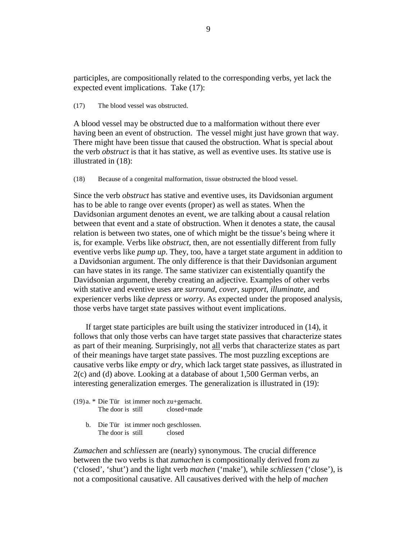participles, are compositionally related to the corresponding verbs, yet lack the expected event implications. Take (17):

(17) The blood vessel was obstructed.

A blood vessel may be obstructed due to a malformation without there ever having been an event of obstruction. The vessel might just have grown that way. There might have been tissue that caused the obstruction. What is special about the verb *obstruct* is that it has stative, as well as eventive uses. Its stative use is illustrated in (18):

(18) Because of a congenital malformation, tissue obstructed the blood vessel.

Since the verb *obstruct* has stative and eventive uses, its Davidsonian argument has to be able to range over events (proper) as well as states. When the Davidsonian argument denotes an event, we are talking about a causal relation between that event and a state of obstruction. When it denotes a state, the causal relation is between two states, one of which might be the tissue's being where it is, for example. Verbs like *obstruct*, then, are not essentially different from fully eventive verbs like *pump up*. They, too, have a target state argument in addition to a Davidsonian argument. The only difference is that their Davidsonian argument can have states in its range. The same stativizer can existentially quantify the Davidsonian argument, thereby creating an adjective. Examples of other verbs with stative and eventive uses are *surround*, *cover*, *support*, *illuminate*, and experiencer verbs like *depress* or *worry*. As expected under the proposed analysis, those verbs have target state passives without event implications.

If target state participles are built using the stativizer introduced in (14), it follows that only those verbs can have target state passives that characterize states as part of their meaning. Surprisingly, not all verbs that characterize states as part of their meanings have target state passives. The most puzzling exceptions are causative verbs like *empty* or *dry*, which lack target state passives, as illustrated in 2(c) and (d) above. Looking at a database of about 1,500 German verbs, an interesting generalization emerges. The generalization is illustrated in (19):

- (19) a. \* Die Tür ist immer noch zu+gemacht. The door is still closed+made
	- b. Die Tür ist immer noch geschlossen. The door is still closed

*Zumachen* and *schliessen* are (nearly) synonymous. The crucial difference between the two verbs is that *zumachen* is compositionally derived from *zu* ('closed', 'shut') and the light verb *machen* ('make'), while *schliessen* ('close'), is not a compositional causative. All causatives derived with the help of *machen*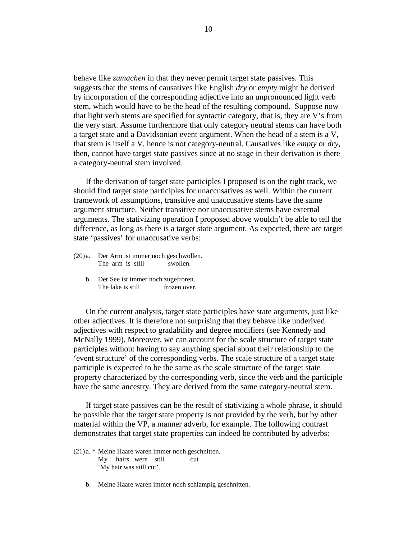behave like *zumachen* in that they never permit target state passives. This suggests that the stems of causatives like English *dry* or *empty* might be derived by incorporation of the corresponding adjective into an unpronounced light verb stem, which would have to be the head of the resulting compound. Suppose now that light verb stems are specified for syntactic category, that is, they are V's from the very start. Assume furthermore that only category neutral stems can have both a target state and a Davidsonian event argument. When the head of a stem is a V, that stem is itself a V, hence is not category-neutral. Causatives like *empty* or *dry*, then, cannot have target state passives since at no stage in their derivation is there a category-neutral stem involved.

If the derivation of target state participles I proposed is on the right track, we should find target state participles for unaccusatives as well. Within the current framework of assumptions, transitive and unaccusative stems have the same argument structure. Neither transitive nor unaccusative stems have external arguments. The stativizing operation I proposed above wouldn't be able to tell the difference, as long as there is a target state argument. As expected, there are target state 'passives' for unaccusative verbs:

- (20) a. Der Arm ist immer noch geschwollen. The arm is still swollen.
	- b. Der See ist immer noch zugefroren. The lake is still frozen over.

On the current analysis, target state participles have state arguments, just like other adjectives. It is therefore not surprising that they behave like underived adjectives with respect to gradability and degree modifiers (see Kennedy and McNally 1999). Moreover, we can account for the scale structure of target state participles without having to say anything special about their relationship to the 'event structure' of the corresponding verbs. The scale structure of a target state participle is expected to be the same as the scale structure of the target state property characterized by the corresponding verb, since the verb and the participle have the same ancestry. They are derived from the same category-neutral stem.

If target state passives can be the result of stativizing a whole phrase, it should be possible that the target state property is not provided by the verb, but by other material within the VP, a manner adverb, for example. The following contrast demonstrates that target state properties can indeed be contributed by adverbs:

- (21) a. \* Meine Haare waren immer noch geschnitten. My hairs were still cut 'My hair was still cut'.
	- b. Meine Haare waren immer noch schlampig geschnitten.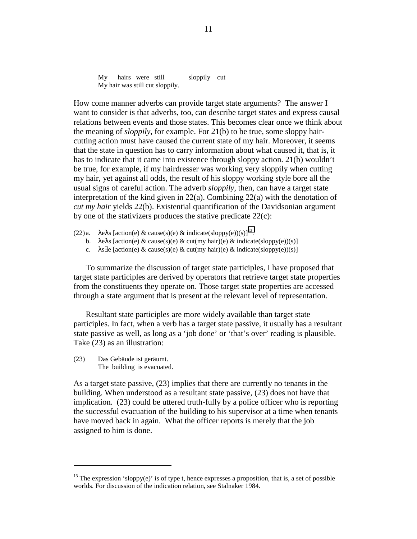My hairs were still sloppily cut My hair was still cut sloppily.

How come manner adverbs can provide target state arguments? The answer I want to consider is that adverbs, too, can describe target states and express causal relations between events and those states. This becomes clear once we think about the meaning of *sloppily*, for example. For 21(b) to be true, some sloppy haircutting action must have caused the current state of my hair. Moreover, it seems that the state in question has to carry information about what caused it, that is, it has to indicate that it came into existence through sloppy action. 21(b) wouldn't be true, for example, if my hairdresser was working very sloppily when cutting my hair, yet against all odds, the result of his sloppy working style bore all the usual signs of careful action. The adverb *sloppily*, then, can have a target state interpretation of the kind given in  $22(a)$ . Combining  $22(a)$  with the denotation of *cut my hair* yields 22(b). Existential quantification of the Davidsonian argument by one of the stativizers produces the stative predicate 22(c):

- (22) a.  $\lambda$ e $\lambda$ s [action(e) & cause(s)(e) & indicate(sloppy(e))(s)]<sup>13</sup>.
	- b.  $\lambda e \lambda s$  [action(e) & cause(s)(e) & cut(my hair)(e) & indicate(sloppy(e))(s)]
	- c.  $\lambda s \exists e$  [action(e) & cause(s)(e) & cut(my hair)(e) & indicate(sloppy(e))(s)]

To summarize the discussion of target state participles, I have proposed that target state participles are derived by operators that retrieve target state properties from the constituents they operate on. Those target state properties are accessed through a state argument that is present at the relevant level of representation.

Resultant state participles are more widely available than target state participles. In fact, when a verb has a target state passive, it usually has a resultant state passive as well, as long as a 'job done' or 'that's over' reading is plausible. Take (23) as an illustration:

(23) Das Gebäude ist geräumt. The building is evacuated.

 $\overline{a}$ 

As a target state passive, (23) implies that there are currently no tenants in the building. When understood as a resultant state passive, (23) does not have that implication. (23) could be uttered truth-fully by a police officer who is reporting the successful evacuation of the building to his supervisor at a time when tenants have moved back in again. What the officer reports is merely that the job assigned to him is done.

 $13$  The expression 'sloppy(e)' is of type t, hence expresses a proposition, that is, a set of possible worlds. For discussion of the indication relation, see Stalnaker 1984.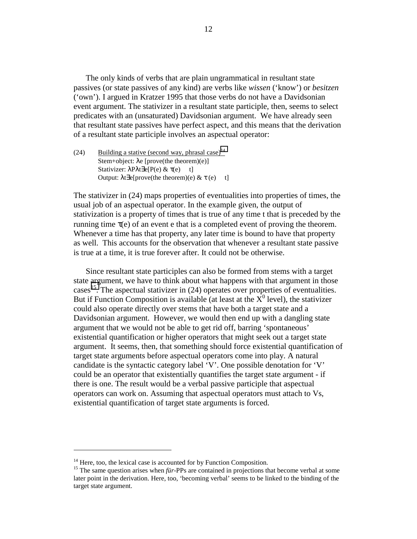The only kinds of verbs that are plain ungrammatical in resultant state passives (or state passives of any kind) are verbs like *wissen* ('know') or *besitzen* ('own'). I argued in Kratzer 1995 that those verbs do not have a Davidsonian event argument. The stativizer in a resultant state participle, then, seems to select predicates with an (unsaturated) Davidsonian argument. We have already seen that resultant state passives have perfect aspect, and this means that the derivation of a resultant state participle involves an aspectual operator:

(24) Building a stative (second way, phrasal case)<sup>14</sup> Stem+object: λe [prove(the theorem)(e)] Stativizer:  $\lambda P\lambda t \exists e[P(e) & \tau(e) \quad t]$ Output: λt∃e[prove(the theorem)(e) & τ (e) t]

The stativizer in (24) maps properties of eventualities into properties of times, the usual job of an aspectual operator. In the example given, the output of stativization is a property of times that is true of any time t that is preceded by the running time  $\tau(e)$  of an event e that is a completed event of proving the theorem. Whenever a time has that property, any later time is bound to have that property as well. This accounts for the observation that whenever a resultant state passive is true at a time, it is true forever after. It could not be otherwise.

Since resultant state participles can also be formed from stems with a target state argument, we have to think about what happens with that argument in those cases<sup>15</sup>. The aspectual stativizer in  $(24)$  operates over properties of eventualities. But if Function Composition is available (at least at the  $\overline{X}^0$  level), the stativizer could also operate directly over stems that have both a target state and a Davidsonian argument. However, we would then end up with a dangling state argument that we would not be able to get rid off, barring 'spontaneous' existential quantification or higher operators that might seek out a target state argument. It seems, then, that something should force existential quantification of target state arguments before aspectual operators come into play. A natural candidate is the syntactic category label 'V'. One possible denotation for 'V' could be an operator that existentially quantifies the target state argument - if there is one. The result would be a verbal passive participle that aspectual operators can work on. Assuming that aspectual operators must attach to Vs, existential quantification of target state arguments is forced.

 $14$  Here, too, the lexical case is accounted for by Function Composition.

<sup>&</sup>lt;sup>15</sup> The same question arises when *für*-PPs are contained in projections that become verbal at some later point in the derivation. Here, too, 'becoming verbal' seems to be linked to the binding of the target state argument.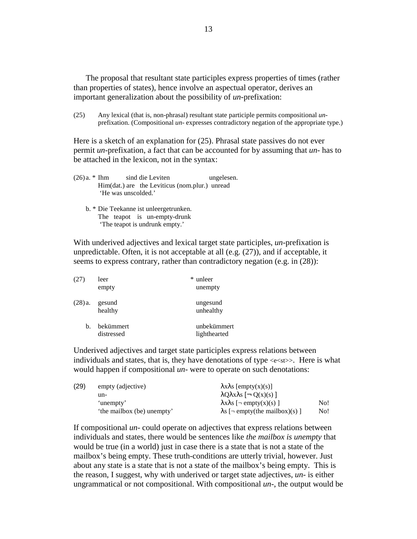The proposal that resultant state participles express properties of times (rather than properties of states), hence involve an aspectual operator, derives an important generalization about the possibility of *un*-prefixation:

(25) Any lexical (that is, non-phrasal) resultant state participle permits compositional *un*prefixation. (Compositional *un*- expresses contradictory negation of the appropriate type.)

Here is a sketch of an explanation for (25). Phrasal state passives do not ever permit *un*-prefixation, a fact that can be accounted for by assuming that *un*- has to be attached in the lexicon, not in the syntax:

(26) a. \* Ihm sind die Leviten ungelesen. Him(dat.) are the Leviticus (nom.plur.) unread 'He was unscolded.' b. \* Die Teekanne ist unleergetrunken. The teapot is un-empty-drunk 'The teapot is undrunk empty.'

With underived adjectives and lexical target state participles, *un*-prefixation is unpredictable. Often, it is not acceptable at all (e.g. (27)), and if acceptable, it seems to express contrary, rather than contradictory negation (e.g. in (28)):

| (27)   | leer       | * unleer     |
|--------|------------|--------------|
|        | empty      | unempty      |
| (28)a. | gesund     | ungesund     |
|        | healthy    | unhealthy    |
| b.     | bekümmert  | unbekümmert  |
|        | distressed | lighthearted |

Underived adjectives and target state participles express relations between individuals and states, that is, they have denotations of type  $\ll\ll$ st $\gg$ . Here is what would happen if compositional *un-* were to operate on such denotations:

| (29) | empty (adjective)          | $\lambda x \lambda s$ [empty(x)(s)]                           |     |
|------|----------------------------|---------------------------------------------------------------|-----|
|      | un-                        | $\lambda Q \lambda x \lambda s$ $\left[ \neg Q(x)(s) \right]$ |     |
|      | 'unempty'                  | $\lambda x \lambda s$ [ $\neg$ empty(x)(s)]                   | No! |
|      | 'the mailbox (be) unempty' | $\lambda$ s [ $\neg$ empty(the mailbox)(s)]                   | No! |

If compositional *un-* could operate on adjectives that express relations between individuals and states, there would be sentences like *the mailbox is unempty* that would be true (in a world) just in case there is a state that is not a state of the mailbox's being empty. These truth-conditions are utterly trivial, however. Just about any state is a state that is not a state of the mailbox's being empty. This is the reason, I suggest, why with underived or target state adjectives, *un*- is either ungrammatical or not compositional. With compositional *un*-, the output would be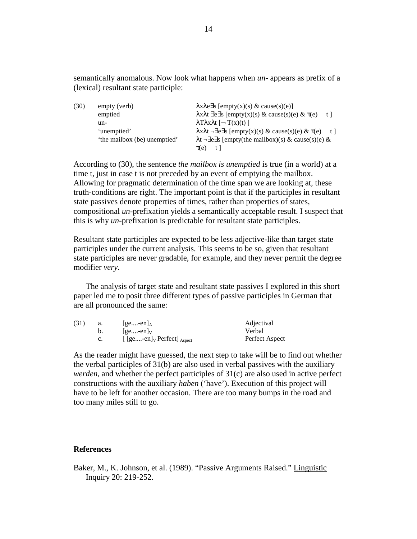semantically anomalous. Now look what happens when *un*- appears as prefix of a (lexical) resultant state participle:

| (30) | empty (verb)                 | $\lambda x \lambda e \exists s$ [empty(x)(s) & cause(s)(e)]                             |     |
|------|------------------------------|-----------------------------------------------------------------------------------------|-----|
|      | emptied                      | $\lambda x \lambda t$ $\exists e \exists s$ [empty(x)(s) & cause(s)(e) & $\tau(e)$      | t I |
|      | un-                          | $\lambda$ Τλ χλ [ - Τ(x)(t) ]                                                           |     |
|      | 'unemptied'                  | $\lambda x \lambda t$ $\neg \exists e \exists s$ [empty(x)(s) & cause(s)(e) & $\tau(e)$ | t ] |
|      | 'the mailbox (be) unemptied' | $\lambda t$ $\neg \exists e \exists s$ [empty(the mailbox)(s) & cause(s)(e) &           |     |
|      |                              | $\tau(e)$                                                                               |     |

According to (30), the sentence *the mailbox is unemptied* is true (in a world) at a time t, just in case t is not preceded by an event of emptying the mailbox. Allowing for pragmatic determination of the time span we are looking at, these truth-conditions are right. The important point is that if the participles in resultant state passives denote properties of times, rather than properties of states, compositional *un*-prefixation yields a semantically acceptable result. I suspect that this is why *un*-prefixation is predictable for resultant state participles.

Resultant state participles are expected to be less adjective-like than target state participles under the current analysis. This seems to be so, given that resultant state participles are never gradable, for example, and they never permit the degree modifier *very*.

The analysis of target state and resultant state passives I explored in this short paper led me to posit three different types of passive participles in German that are all pronounced the same:

| (31) | a. | $ ge-en _A$                                          | Adjectival     |
|------|----|------------------------------------------------------|----------------|
|      |    | $ ge-en _V$                                          | Verbal         |
|      | C. | $[$ [ge-en] <sub>V</sub> Perfect] $_{\text{Aspect}}$ | Perfect Aspect |

As the reader might have guessed, the next step to take will be to find out whether the verbal participles of 31(b) are also used in verbal passives with the auxiliary *werden*, and whether the perfect participles of 31(c) are also used in active perfect constructions with the auxiliary *haben* ('have'). Execution of this project will have to be left for another occasion. There are too many bumps in the road and too many miles still to go.

### **References**

Baker, M., K. Johnson, et al. (1989). "Passive Arguments Raised." Linguistic Inquiry 20: 219-252.